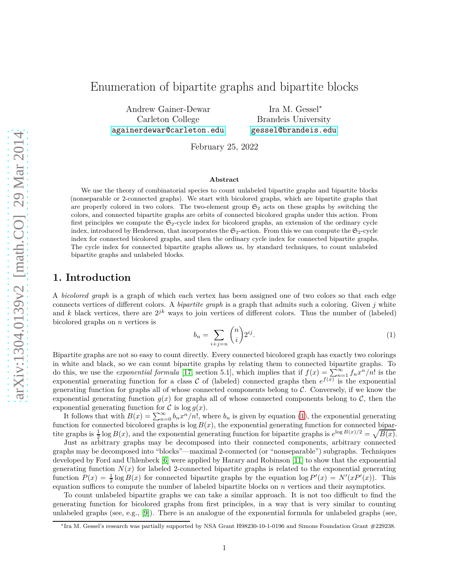# Enumeration of bipartite graphs and bipartite blocks

Andrew Gainer-Dewar Carleton College <againerdewar@carleton.edu>

Ira M. Gessel<sup>∗</sup> Brandeis University <gessel@brandeis.edu>

February 25, 2022

#### **Abstract**

We use the theory of combinatorial species to count unlabeled bipartite graphs and bipartite blocks (nonseparable or 2-connected graphs). We start with bicolored graphs, which are bipartite graphs that are properly colored in two colors. The two-element group  $\mathfrak{S}_2$  acts on these graphs by switching the colors, and connected bipartite graphs are orbits of connected bicolored graphs under this action. From first principles we compute the  $\mathfrak{S}_2$ -cycle index for bicolored graphs, an extension of the ordinary cycle index, introduced by Henderson, that incorporates the  $\mathfrak{S}_2$ -action. From this we can compute the  $\mathfrak{S}_2$ -cycle index for connected bicolored graphs, and then the ordinary cycle index for connected bipartite graphs. The cycle index for connected bipartite graphs allows us, by standard techniques, to count unlabeled bipartite graphs and unlabeled blocks.

### **1. Introduction**

A *bicolored graph* is a graph of which each vertex has been assigned one of two colors so that each edge connects vertices of different colors. A *bipartite graph* is a graph that admits such a coloring. Given *j* white and *k* black vertices, there are  $2^{jk}$  ways to join vertices of different colors. Thus the number of (labeled) bicolored graphs on *n* vertices is

<span id="page-0-0"></span>
$$
b_n = \sum_{i+j=n} \binom{n}{i} 2^{ij}.\tag{1}
$$

Bipartite graphs are not so easy to count directly. Every connected bicolored graph has exactly two colorings in white and black, so we can count bipartite graphs by relating them to connected bipartite graphs. To do this, we use the *exponential formula* [\[17,](#page-14-0) section 5.1], which implies that if  $f(x) = \sum_{n=1}^{\infty} \int_{0}^{\infty} f_n x^n/n!$  is the exponential generating function for a class  $\mathcal C$  of (labeled) connected graphs then  $e^{f(x)}$  is the exponential generating function for graphs all of whose connected components belong to  $C$ . Conversely, if we know the exponential generating function  $q(x)$  for graphs all of whose connected components belong to  $\mathcal{C}$ , then the exponential generating function for  $\mathcal C$  is  $\log g(x)$ .

It follows that with  $B(x) = \sum_{n=0}^{\infty} b_n x^n/n!$ , where  $b_n$  is given by equation [\(1](#page-0-0)), the exponential generating function for connected bicolored graphs is  $log B(x)$ , the exponential generating function for connected bipartite graphs is  $\frac{1}{2} \log B(x)$ , and the exponential generating function for bipartite graphs is  $e^{\log B(x)/2} = \sqrt{B(x)}$ .

Just as arbitrary graphs may be decomposed into their connected components, arbitrary connected graphs may be decomposed into "blocks"—maximal 2-connected (or "nonseparable") subgraphs. Techniques developed by Ford and Uhlenbeck [\[6\]](#page-14-1) were applied by Harary and Robinson [\[11\]](#page-14-2) to show that the exponential generating function  $N(x)$  for labeled 2-connected bipartite graphs is related to the exponential generating function  $P(x) = \frac{1}{2} \log B(x)$  for connected bipartite graphs by the equation  $\log P'(x) = N'(xP'(x))$ . This equation suffices to compute the number of labeled bipartite blocks on *n* vertices and their asymptotics.

To count unlabeled bipartite graphs we can take a similar approach. It is not too difficult to find the generating function for bicolored graphs from first principles, in a way that is very similar to counting unlabeled graphs (see, e.g., [\[9\]](#page-14-3)). There is an analogue of the exponential formula for unlabeled graphs (see,

<sup>∗</sup>Ira M. Gessel's research was partially supported by NSA Grant H98230-10-1-0196 and Simons Foundation Grant #229238.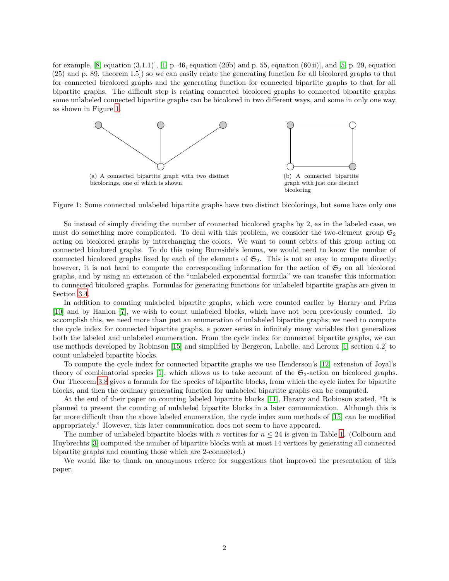for example,  $[8, \text{ equation } (3.1.1)], [1, p. 46, \text{ equation } (20b) \text{ and } p. 55, \text{ equation } (60 ii)], \text{ and } [5, p. 29, \text{ equation }$  $[8, \text{ equation } (3.1.1)], [1, p. 46, \text{ equation } (20b) \text{ and } p. 55, \text{ equation } (60 ii)], \text{ and } [5, p. 29, \text{ equation }$  $[8, \text{ equation } (3.1.1)], [1, p. 46, \text{ equation } (20b) \text{ and } p. 55, \text{ equation } (60 ii)], \text{ and } [5, p. 29, \text{ equation }$  $[8, \text{ equation } (3.1.1)], [1, p. 46, \text{ equation } (20b) \text{ and } p. 55, \text{ equation } (60 ii)], \text{ and } [5, p. 29, \text{ equation }$  $[8, \text{ equation } (3.1.1)], [1, p. 46, \text{ equation } (20b) \text{ and } p. 55, \text{ equation } (60 ii)], \text{ and } [5, p. 29, \text{ equation }$ (25) and p. 89, theorem I.5]) so we can easily relate the generating function for all bicolored graphs to that for connected bicolored graphs and the generating function for connected bipartite graphs to that for all bipartite graphs. The difficult step is relating connected bicolored graphs to connected bipartite graphs: some unlabeled connected bipartite graphs can be bicolored in two different ways, and some in only one way, as shown in Figure [1.](#page-1-0)

<span id="page-1-0"></span>

Figure 1: Some connected unlabeled bipartite graphs have two distinct bicolorings, but some have only one

So instead of simply dividing the number of connected bicolored graphs by 2, as in the labeled case, we must do something more complicated. To deal with this problem, we consider the two-element group  $\mathfrak{S}_2$ acting on bicolored graphs by interchanging the colors. We want to count orbits of this group acting on connected bicolored graphs. To do this using Burnside's lemma, we would need to know the number of connected bicolored graphs fixed by each of the elements of  $\mathfrak{S}_2$ . This is not so easy to compute directly; however, it is not hard to compute the corresponding information for the action of  $\mathfrak{S}_2$  on all bicolored graphs, and by using an extension of the "unlabeled exponential formula" we can transfer this information to connected bicolored graphs. Formulas for generating functions for unlabeled bipartite graphs are given in Section [3.4.](#page-8-0)

In addition to counting unlabeled bipartite graphs, which were counted earlier by Harary and Prins [\[10\]](#page-14-6) and by Hanlon [\[7\]](#page-14-7), we wish to count unlabeled blocks, which have not been previously counted. To accomplish this, we need more than just an enumeration of unlabeled bipartite graphs; we need to compute the cycle index for connected bipartite graphs, a power series in infinitely many variables that generalizes both the labeled and unlabeled enumeration. From the cycle index for connected bipartite graphs, we can use methods developed by Robinson [\[15\]](#page-14-8) and simplified by Bergeron, Labelle, and Leroux [\[1,](#page-13-0) section 4.2] to count unlabeled bipartite blocks.

To compute the cycle index for connected bipartite graphs we use Henderson's [\[12\]](#page-14-9) extension of Joyal's theory of combinatorial species [\[1\]](#page-13-0), which allows us to take account of the  $\mathfrak{S}_2$ -action on bicolored graphs. Our Theorem [3.8](#page-10-0) gives a formula for the species of bipartite blocks, from which the cycle index for bipartite blocks, and then the ordinary generating function for unlabeled bipartite graphs can be computed.

At the end of their paper on counting labeled bipartite blocks [\[11\]](#page-14-2), Harary and Robinson stated, "It is planned to present the counting of unlabeled bipartite blocks in a later communication. Although this is far more difficult than the above labeled enumeration, the cycle index sum methods of [\[15\]](#page-14-8) can be modified appropriately." However, this later communication does not seem to have appeared.

The number of unlabeled bipartite blocks with *n* vertices for  $n \leq 24$  is given in Table [1.](#page-11-0) (Colbourn and Huybrechts [\[3\]](#page-14-10) computed the number of bipartite blocks with at most 14 vertices by generating all connected bipartite graphs and counting those which are 2-connected.)

<span id="page-1-1"></span>We would like to thank an anonymous referee for suggestions that improved the presentation of this paper.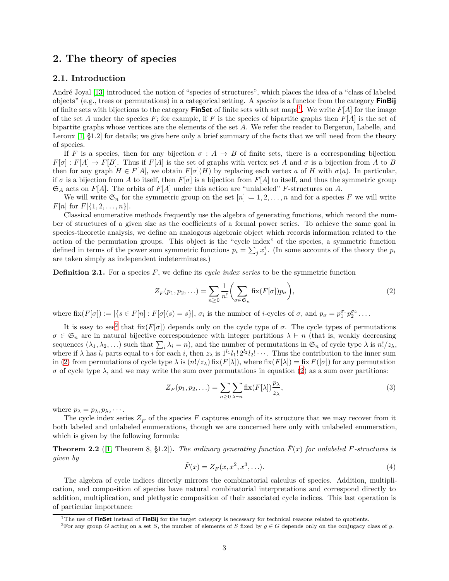### **2. The theory of species**

### **2.1. Introduction**

André Joyal [\[13\]](#page-14-11) introduced the notion of "species of structures", which places the idea of a "class of labeled objects" (e.g., trees or permutations) in a categorical setting. A *species* is a functor from the category **FinBij** of finite sets with bijections to the category **FinSet** of finite sets with set maps<sup>[1](#page-2-0)</sup>. We write  $F[A]$  for the image of the set *A* under the species *F*; for example, if *F* is the species of bipartite graphs then  $F[A]$  is the set of bipartite graphs whose vertices are the elements of the set *A*. We refer the reader to Bergeron, Labelle, and Leroux [\[1,](#page-13-0) §1.2] for details; we give here only a brief summary of the facts that we will need from the theory of species.

If *F* is a species, then for any bijection  $\sigma : A \rightarrow B$  of finite sets, there is a corresponding bijection  $F[\sigma]: F[A] \to F[B]$ . Thus if  $F[A]$  is the set of graphs with vertex set *A* and  $\sigma$  is a bijection from *A* to *B* then for any graph  $H \in F[A]$ , we obtain  $F[\sigma](H)$  by replacing each vertex *a* of *H* with  $\sigma(a)$ . In particular, if  $\sigma$  is a bijection from A to itself, then  $F[\sigma]$  is a bijection from  $F[A]$  to itself, and thus the symmetric group  $\mathfrak{S}_A$  acts on *F*[*A*]. The orbits of *F*[*A*] under this action are "unlabeled" *F*-structures on *A*.

We will write  $\mathfrak{S}_n$  for the symmetric group on the set  $[n] := 1, 2, \ldots, n$  and for a species *F* we will write *F*[*n*] for *F*[{ $1, 2, ..., n$ }].

Classical enumerative methods frequently use the algebra of generating functions, which record the number of structures of a given size as the coefficients of a formal power series. To achieve the same goal in species-theoretic analysis, we define an analogous algebraic object which records information related to the action of the permutation groups. This object is the "cycle index" of the species, a symmetric function defined in terms of the power sum symmetric functions  $p_i = \sum_j x_j^i$ . (In some accounts of the theory the  $p_i$ are taken simply as independent indeterminates.)

**Definition 2.1.** For a species F, we define its *cycle index series* to be the symmetric function

<span id="page-2-2"></span>
$$
Z_F(p_1, p_2, \ldots) = \sum_{n \ge 0} \frac{1}{n!} \left( \sum_{\sigma \in \mathfrak{S}_n} \text{fix}(F[\sigma]) p_{\sigma} \right),\tag{2}
$$

where  $\text{fix}(F[\sigma]) := |\{s \in F[n] : F[\sigma](s) = s\}|$ ,  $\sigma_i$  is the number of *i*-cycles of  $\sigma$ , and  $p_{\sigma} = p_1^{\sigma_1} p_2^{\sigma_2} \dots$ 

It is easy to see<sup>[2](#page-2-1)</sup> that fix( $F[\sigma]$ ) depends only on the cycle type of  $\sigma$ . The cycle types of permutations  $\sigma \in \mathfrak{S}_n$  are in natural bijective correspondence with integer partitions  $\lambda \vdash n$  (that is, weakly decreasing sequences  $(\lambda_1, \lambda_2, \ldots)$  such that  $\sum_i \lambda_i = n$ , and the number of permutations in  $\mathfrak{S}_n$  of cycle type  $\lambda$  is  $n!/z_\lambda$ , where if  $\lambda$  has  $l_i$  parts equal to *i* for each *i*, then  $z_\lambda$  is  $1^{l_1}l_1!2^{l_2}l_2!\cdots$ . Thus the contribution to the inner sum in [\(2\)](#page-2-2) from permutations of cycle type  $\lambda$  is  $(n!/z_\lambda)$  fix( $F[\lambda]$ ), where fix( $F[\lambda]$ ) = fix  $F([\sigma])$  for any permutation  $\sigma$  of cycle type  $\lambda$ , and we may write the sum over permutations in equation [\(2\)](#page-2-2) as a sum over partitions:

<span id="page-2-3"></span>
$$
Z_F(p_1, p_2, \ldots) = \sum_{n \ge 0} \sum_{\lambda \vdash n} \operatorname{fix}(F[\lambda]) \frac{p_\lambda}{z_\lambda},\tag{3}
$$

where  $p_{\lambda} = p_{\lambda_1} p_{\lambda_2} \cdots$ .

The cycle index series  $Z_F$  of the species  $F$  captures enough of its structure that we may recover from it both labeled and unlabeled enumerations, though we are concerned here only with unlabeled enumeration, which is given by the following formula:

**Theorem 2.2** ([\[1,](#page-13-0) Theorem 8, §1.2]). The ordinary generating function  $\tilde{F}(x)$  for unlabeled *F*-structures is *given by*

$$
\tilde{F}(x) = Z_F(x, x^2, x^3, \ldots). \tag{4}
$$

The algebra of cycle indices directly mirrors the combinatorial calculus of species. Addition, multiplication, and composition of species have natural combinatorial interpretations and correspond directly to addition, multiplication, and plethystic composition of their associated cycle indices. This last operation is of particular importance:

<sup>1</sup>The use of **FinSet** instead of **FinBij** for the target category is necessary for technical reasons related to quotients.

<span id="page-2-1"></span><span id="page-2-0"></span><sup>&</sup>lt;sup>2</sup>For any group *G* acting on a set *S*, the number of elements of *S* fixed by  $g \in G$  depends only on the conjugacy class of *g*.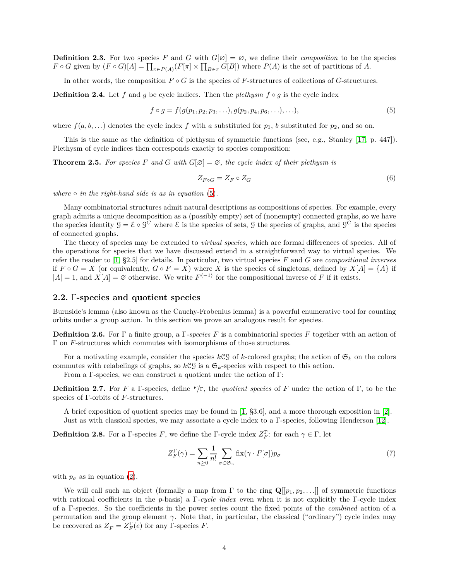**Definition 2.3.** For two species *F* and *G* with  $G[Ø] = \emptyset$ , we define their *composition* to be the species  $F \circ G$  given by  $(F \circ G)[A] = \prod_{\pi \in P(A)} (F[\pi] \times \prod_{B \in \pi} G[B])$  where  $P(A)$  is the set of partitions of *A*.

In other words, the composition  $F \circ G$  is the species of *F*-structures of collections of *G*-structures.

**Definition 2.4.** Let f and g be cycle indices. Then the *plethysm*  $f \circ g$  is the cycle index

$$
f \circ g = f(g(p_1, p_2, p_3, \ldots), g(p_2, p_4, p_6, \ldots), \ldots),
$$
\n(5)

where  $f(a, b, \ldots)$  denotes the cycle index f with a substituted for  $p_1$ , b substituted for  $p_2$ , and so on.

<span id="page-3-1"></span>This is the same as the definition of plethysm of symmetric functions (see, e.g., Stanley [\[17,](#page-14-0) p. 447]). Plethysm of cycle indices then corresponds exactly to species composition:

**Theorem 2.5.** For species F and G with  $G[\emptyset] = \emptyset$ , the cycle index of their plethysm is

<span id="page-3-0"></span>
$$
Z_{F \circ G} = Z_F \circ Z_G \tag{6}
$$

*where*  $\circ$  *in the right-hand side is as in equation* [\(5\)](#page-3-0).

Many combinatorial structures admit natural descriptions as compositions of species. For example, every graph admits a unique decomposition as a (possibly empty) set of (nonempty) connected graphs, so we have the species identity  $G = \mathcal{E} \circ \mathcal{G}^C$  where  $\mathcal{E}$  is the species of sets,  $\mathcal{G}$  the species of graphs, and  $\mathcal{G}^C$  is the species of connected graphs.

The theory of species may be extended to *virtual species*, which are formal differences of species. All of the operations for species that we have discussed extend in a straightforward way to virtual species. We refer the reader to [\[1,](#page-13-0) §2.5] for details. In particular, two virtual species *F* and *G* are *compositional inverses* if  $F \circ G = X$  (or equivalently,  $G \circ F = X$ ) where X is the species of singletons, defined by  $X[A] = \{A\}$  if  $|A| = 1$ , and  $X[A] = \emptyset$  otherwise. We write  $F^{-1}$  for the compositional inverse of F if it exists.

#### <span id="page-3-3"></span>**2.2.** Γ**-species and quotient species**

Burnside's lemma (also known as the Cauchy-Frobenius lemma) is a powerful enumerative tool for counting orbits under a group action. In this section we prove an analogous result for species.

**Definition 2.6.** For Γ a finite group, a Γ*-species F* is a combinatorial species *F* together with an action of Γ on *F*-structures which commutes with isomorphisms of those structures.

For a motivating example, consider the species  $k\mathcal{CG}$  of *k*-colored graphs; the action of  $\mathfrak{S}_k$  on the colors commutes with relabelings of graphs, so  $k \mathcal{CG}$  is a  $\mathfrak{S}_k$ -species with respect to this action.

From a Γ-species, we can construct a quotient under the action of Γ:

**Definition 2.7.** For *F* a Γ-species, define *<sup>F</sup>/*Γ, the *quotient species* of *F* under the action of Γ, to be the species of Γ-orbits of *F*-structures.

A brief exposition of quotient species may be found in [\[1,](#page-13-0) §3.6], and a more thorough exposition in [\[2\]](#page-13-1). Just as with classical species, we may associate a cycle index to a Γ-species, following Henderson [\[12\]](#page-14-9).

<span id="page-3-2"></span>**Definition 2.8.** For a Γ-species *F*, we define the Γ-cycle index  $Z_F^{\Gamma}$ : for each  $\gamma \in \Gamma$ , let

$$
Z_F^{\Gamma}(\gamma) = \sum_{n \ge 0} \frac{1}{n!} \sum_{\sigma \in \mathfrak{S}_n} \text{fix}(\gamma \cdot F[\sigma]) p_{\sigma}
$$
 (7)

with  $p_{\sigma}$  as in equation [\(2\)](#page-2-2).

We will call such an object (formally a map from  $\Gamma$  to the ring  $\mathbf{Q}[[p_1, p_2, \ldots]]$  of symmetric functions with rational coefficients in the *p*-basis) a Γ*-cycle index* even when it is not explicitly the Γ-cycle index of a Γ-species. So the coefficients in the power series count the fixed points of the *combined* action of a permutation and the group element  $\gamma$ . Note that, in particular, the classical ("ordinary") cycle index may be recovered as  $Z_F = Z_F^{\Gamma}(e)$  for any  $\Gamma$ -species  $F$ .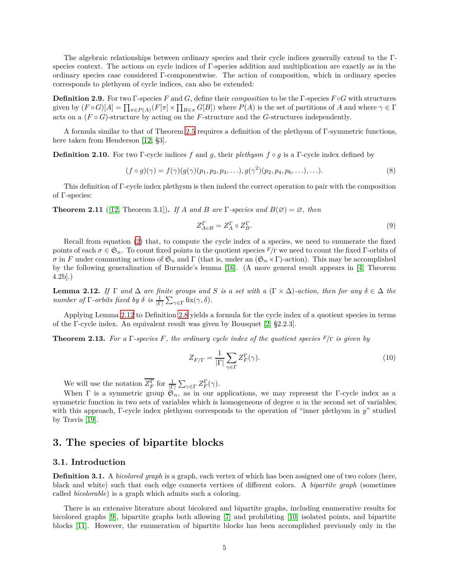The algebraic relationships between ordinary species and their cycle indices generally extend to the Γspecies context. The actions on cycle indices of Γ-species addition and multiplication are exactly as in the ordinary species case considered Γ-componentwise. The action of composition, which in ordinary species corresponds to plethysm of cycle indices, can also be extended:

**Definition 2.9.** For two Γ-species *F* and *G*, define their *composition* to be the Γ-species *F* ◦*G* with structures given by  $(F \circ G)[A] = \prod_{\pi \in P(A)} (F[\pi] \times \prod_{B \in \pi} G[B])$  where  $P(A)$  is the set of partitions of *A* and where  $\gamma \in \Gamma$ acts on a  $(F \circ G)$ -structure by acting on the *F*-structure and the *G*-structures independently.

A formula similar to that of Theorem [2.5](#page-3-1) requires a definition of the plethysm of Γ-symmetric functions, here taken from Henderson [\[12,](#page-14-9) §3].

**Definition 2.10.** For two Γ-cycle indices *f* and *g*, their *plethysm f* ◦ *g* is a Γ-cycle index defined by

$$
(f \circ g)(\gamma) = f(\gamma)(g(\gamma)(p_1, p_2, p_3, \ldots), g(\gamma^2)(p_2, p_4, p_6, \ldots), \ldots). \tag{8}
$$

This definition of Γ-cycle index plethysm is then indeed the correct operation to pair with the composition of Γ-species:

**Theorem 2.11** ([\[12,](#page-14-9) Theorem 3.1]). *If A* and *B* are  $\Gamma$ -species and  $B(\emptyset) = \emptyset$ , then

<span id="page-4-1"></span>
$$
Z_{A \circ B}^{\Gamma} = Z_A^{\Gamma} \circ Z_B^{\Gamma}.
$$
 (9)

Recall from equation [\(2\)](#page-2-2) that, to compute the cycle index of a species, we need to enumerate the fixed points of each  $\sigma \in \mathfrak{S}_n$ . To count fixed points in the quotient species  $F/\Gamma$  we need to count the fixed  $\Gamma$ -orbits of *σ* in *F* under commuting actions of  $\mathfrak{S}_n$  and  $\Gamma$  (that is, under an  $(\mathfrak{S}_n \times \Gamma)$ -action). This may be accomplished by the following generalization of Burnside's lemma [\[16\]](#page-14-12). (A more general result appears in [\[4,](#page-14-13) Theorem 4.2b].)

<span id="page-4-0"></span>**Lemma 2.12.** *If*  $\Gamma$  *and*  $\Delta$  *are finite groups and S is a set with a* ( $\Gamma \times \Delta$ )*-action, then for any*  $\delta \in \Delta$  *the number of*  $\Gamma$ *-orbits fixed by*  $\delta$  *is*  $\frac{1}{|\Gamma|} \sum_{\gamma \in \Gamma}$  fix $(\gamma, \delta)$ *.* 

<span id="page-4-2"></span>Applying Lemma [2.12](#page-4-0) to Definition [2.8](#page-3-2) yields a formula for the cycle index of a quotient species in terms of the Γ-cycle index. An equivalent result was given by Bousquet [\[2,](#page-13-1) §2.2.3].

**Theorem 2.13.** *For a* Γ*-species F, the ordinary cycle index of the quotient species <sup>F</sup>/*<sup>Γ</sup> *is given by*

$$
Z_{F/\Gamma} = \frac{1}{|\Gamma|} \sum_{\gamma \in \Gamma} Z_F^{\Gamma}(\gamma). \tag{10}
$$

We will use the notation  $Z_F^{\Gamma}$  for  $\frac{1}{|\Gamma|} \sum_{\gamma \in \Gamma} Z_F^{\Gamma}(\gamma)$ .

When  $\Gamma$  is a symmetric group  $\mathfrak{S}_n$ , as in our applications, we may represent the Γ-cycle index as a symmetric function in two sets of variables which is homogeneous of degree *n* in the second set of variables; with this approach, Γ-cycle index plethysm corresponds to the operation of "inner plethysm in *y*" studied by Travis [\[19\]](#page-14-14).

### <span id="page-4-3"></span>**3. The species of bipartite blocks**

### **3.1. Introduction**

**Definition 3.1.** A *bicolored graph* is a graph, each vertex of which has been assigned one of two colors (here, black and white) such that each edge connects vertices of different colors. A *bipartite graph* (sometimes called *bicolorable*) is a graph which admits such a coloring.

There is an extensive literature about bicolored and bipartite graphs, including enumerative results for bicolored graphs [\[9\]](#page-14-3), bipartite graphs both allowing [\[7\]](#page-14-7) and prohibiting [\[10\]](#page-14-6) isolated points, and bipartite blocks [\[11\]](#page-14-2). However, the enumeration of bipartite blocks has been accomplished previously only in the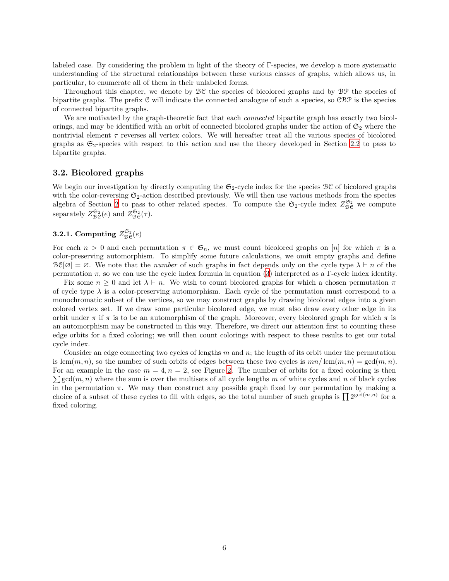labeled case. By considering the problem in light of the theory of Γ-species, we develop a more systematic understanding of the structural relationships between these various classes of graphs, which allows us, in particular, to enumerate all of them in their unlabeled forms.

Throughout this chapter, we denote by BC the species of bicolored graphs and by BP the species of bipartite graphs. The prefix C will indicate the connected analogue of such a species, so CBP is the species of connected bipartite graphs.

We are motivated by the graph-theoretic fact that each *connected* bipartite graph has exactly two bicolorings, and may be identified with an orbit of connected bicolored graphs under the action of  $\mathfrak{S}_2$  where the nontrivial element *τ* reverses all vertex colors. We will hereafter treat all the various species of bicolored graphs as  $\mathfrak{S}_2$ -species with respect to this action and use the theory developed in Section [2.2](#page-3-3) to pass to bipartite graphs.

### **3.2. Bicolored graphs**

We begin our investigation by directly computing the  $\mathfrak{S}_2$ -cycle index for the species  $\mathcal{BC}$  of bicolored graphs with the color-reversing  $\mathfrak{S}_2$ -action described previously. We will then use various methods from the species algebra of Section [2](#page-1-1) to pass to other related species. To compute the  $\mathfrak{S}_2$ -cycle index  $Z_{\mathcal{BC}}^{\mathfrak{S}_2}$  we compute separately  $Z_{\text{BC}}^{\mathfrak{S}_2}(e)$  and  $Z_{\text{BC}}^{\mathfrak{S}_2}(\tau)$ .

## <span id="page-5-0"></span>**3.2.1.** Computing  $Z_{\mathcal{B}\mathcal{C}}^{\mathfrak{S}_2}(e)$

For each  $n > 0$  and each permutation  $\pi \in \mathfrak{S}_n$ , we must count bicolored graphs on [*n*] for which  $\pi$  is a color-preserving automorphism. To simplify some future calculations, we omit empty graphs and define  $\mathcal{B}\mathcal{C}[\varnothing] = \varnothing$ . We note that the *number* of such graphs in fact depends only on the cycle type  $\lambda \vdash n$  of the permutation  $\pi$ , so we can use the cycle index formula in equation [\(3\)](#page-2-3) interpreted as a Γ-cycle index identity.

Fix some  $n \geq 0$  and let  $\lambda \vdash n$ . We wish to count bicolored graphs for which a chosen permutation  $\pi$ of cycle type  $\lambda$  is a color-preserving automorphism. Each cycle of the permutation must correspond to a monochromatic subset of the vertices, so we may construct graphs by drawing bicolored edges into a given colored vertex set. If we draw some particular bicolored edge, we must also draw every other edge in its orbit under  $\pi$  if  $\pi$  is to be an automorphism of the graph. Moreover, every bicolored graph for which  $\pi$  is an automorphism may be constructed in this way. Therefore, we direct our attention first to counting these edge orbits for a fixed coloring; we will then count colorings with respect to these results to get our total cycle index.

Consider an edge connecting two cycles of lengths *m* and *n*; the length of its orbit under the permutation is  $lcm(m, n)$ , so the number of such orbits of edges between these two cycles is  $mn/\text{lcm}(m, n) = \text{gcd}(m, n)$ .  $\sum$  gcd $(m, n)$  where the sum is over the multisets of all cycle lengths m of white cycles and n of black cycles For an example in the case  $m = 4, n = 2$  $m = 4, n = 2$ , see Figure 2. The number of orbits for a fixed coloring is then in the permutation  $\pi$ . We may then construct any possible graph fixed by our permutation by making a choice of a subset of these cycles to fill with edges, so the total number of such graphs is  $\prod 2^{\gcd(m,n)}$  for a fixed coloring.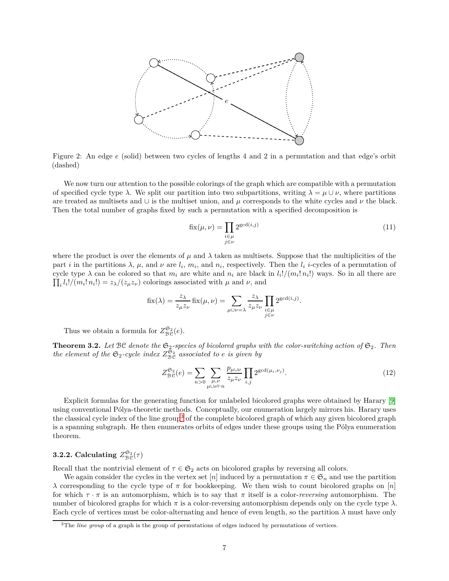<span id="page-6-0"></span>

Figure 2: An edge *e* (solid) between two cycles of lengths 4 and 2 in a permutation and that edge's orbit (dashed)

We now turn our attention to the possible colorings of the graph which are compatible with a permutation of specified cycle type  $\lambda$ . We split our partition into two subpartitions, writing  $\lambda = \mu \cup \nu$ , where partitions are treated as multisets and  $\cup$  is the multiset union, and  $\mu$  corresponds to the white cycles and  $\nu$  the black. Then the total number of graphs fixed by such a permutation with a specified decomposition is

<span id="page-6-2"></span>
$$
\operatorname{fix}(\mu, \nu) = \prod_{\substack{i \in \mu \\ j \in \nu}} 2^{\gcd(i,j)} \tag{11}
$$

where the product is over the elements of  $\mu$  and  $\lambda$  taken as multisets. Suppose that the multiplicities of the part *i* in the partitions  $\lambda$ ,  $\mu$ , and  $\nu$  are  $l_i$ ,  $m_i$ , and  $n_i$ , respectively. Then the  $l_i$  *i*-cycles of a permutation of cycle type  $\lambda$  can be colored so that  $m_i$  are white and  $n_i$  are black in  $l_i!/(m_i! n_i!)$  ways. So in all there are  $\prod_i l_i!/(m_i! n_i!) = z_{\lambda}/(z_{\mu}z_{\nu})$  colorings associated with  $\mu$  and  $\nu$ , and

$$
\text{fix}(\lambda) = \frac{z_{\lambda}}{z_{\mu}z_{\nu}} \text{fix}(\mu, \nu) = \sum_{\mu \cup \nu = \lambda} \frac{z_{\lambda}}{z_{\mu}z_{\nu}} \prod_{\substack{i \in \mu \\ j \in \nu}} 2^{\text{gcd}(i,j)}.
$$

Thus we obtain a formula for  $Z_{\mathcal{B}\mathcal{C}}^{\mathfrak{S}_2}(e)$ .

**Theorem 3.2.** Let BC denote the  $\mathfrak{S}_2$ -species of bicolored graphs with the color-switching action of  $\mathfrak{S}_2$ . Then *the element of the*  $\mathfrak{S}_2$ -cycle index  $Z_{\mathcal{BC}}^{\tilde{\mathfrak{S}}_2}$  associated to *e is given by* 

$$
Z_{\text{BC}}^{\mathfrak{S}_2}(e) = \sum_{n>0} \sum_{\substack{\mu,\nu\\ \mu \cup \nu \vdash n}} \frac{p_{\mu \cup \nu}}{z_{\mu} z_{\nu}} \prod_{i,j} 2^{\gcd(\mu_i,\nu_j)}.
$$
 (12)

Explicit formulas for the generating function for unlabeled bicolored graphs were obtained by Harary [\[9\]](#page-14-3) using conventional Pólya-theoretic methods. Conceptually, our enumeration largely mirrors his. Harary uses the classical cycle index of the line group[3](#page-6-1) of the complete bicolored graph of which any given bicolored graph is a spanning subgraph. He then enumerates orbits of edges under these groups using the Pólya enumeration theorem.

## **3.2.2.** Calculating  $Z_{\mathcal{B}\mathcal{C}}^{\mathfrak{S}_2}(\tau)$

Recall that the nontrivial element of  $\tau \in \mathfrak{S}_2$  acts on bicolored graphs by reversing all colors.

We again consider the cycles in the vertex set [*n*] induced by a permutation  $\pi \in \mathfrak{S}_n$  and use the partition *λ* corresponding to the cycle type of *π* for bookkeeping. We then wish to count bicolored graphs on [*n*] for which  $\tau \cdot \pi$  is an automorphism, which is to say that  $\pi$  itself is a color-*reversing* automorphism. The number of bicolored graphs for which  $\pi$  is a color-reversing automorphism depends only on the cycle type  $\lambda$ . Each cycle of vertices must be color-alternating and hence of even length, so the partition  $\lambda$  must have only

<span id="page-6-1"></span><sup>&</sup>lt;sup>3</sup>The *line group* of a graph is the group of permutations of edges induced by permutations of vertices.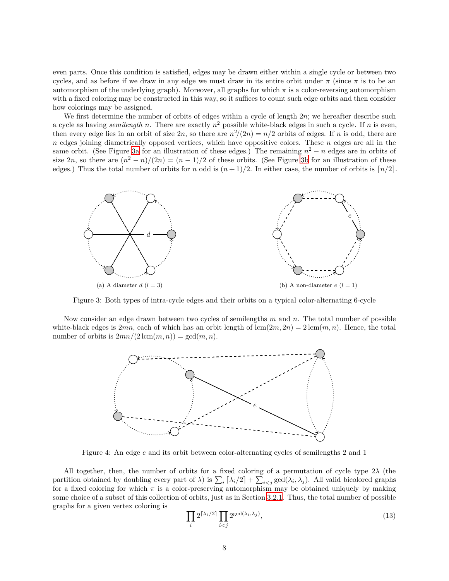even parts. Once this condition is satisfied, edges may be drawn either within a single cycle or between two cycles, and as before if we draw in any edge we must draw in its entire orbit under  $\pi$  (since  $\pi$  is to be an automorphism of the underlying graph). Moreover, all graphs for which  $\pi$  is a color-reversing automorphism with a fixed coloring may be constructed in this way, so it suffices to count such edge orbits and then consider how colorings may be assigned.

We first determine the number of orbits of edges within a cycle of length 2*n*; we hereafter describe such a cycle as having *semilength n*. There are exactly *n* <sup>2</sup> possible white-black edges in such a cycle. If *n* is even, then every edge lies in an orbit of size  $2n$ , so there are  $n^2/(2n) = n/2$  orbits of edges. If *n* is odd, there are *n* edges joining diametrically opposed vertices, which have oppositive colors. These *n* edges are all in the same orbit. (See Figure [3a](#page-7-0) for an illustration of these edges.) The remaining  $n^2 - n$  edges are in orbits of size  $2n$ , so there are  $(n^2 - n)/(2n) = (n - 1)/2$  of these orbits. (See Figure [3b](#page-7-1) for an illustration of these edges.) Thus the total number of orbits for *n* odd is  $(n+1)/2$ . In either case, the number of orbits is  $\lceil n/2 \rceil$ .

<span id="page-7-0"></span>

Figure 3: Both types of intra-cycle edges and their orbits on a typical color-alternating 6-cycle

Now consider an edge drawn between two cycles of semilengths *m* and *n*. The total number of possible white-black edges is  $2mn$ , each of which has an orbit length of  $lcm(2m, 2n) = 2 \,lcm(m, n)$ . Hence, the total number of orbits is  $2mn/(2 \text{ lcm}(m, n)) = \text{gcd}(m, n)$ .

<span id="page-7-1"></span>

Figure 4: An edge *e* and its orbit between color-alternating cycles of semilengths 2 and 1

All together, then, the number of orbits for a fixed coloring of a permutation of cycle type 2*λ* (the partition obtained by doubling every part of  $\lambda$ ) is  $\sum_i [\lambda_i/2] + \sum_{i < j} \gcd(\lambda_i, \lambda_j)$ . All valid bicolored graphs for a fixed coloring for which  $\pi$  is a color-preserving automorphism may be obtained uniquely by making some choice of a subset of this collection of orbits, just as in Section [3.2.1](#page-5-0). Thus, the total number of possible graphs for a given vertex coloring is

<span id="page-7-2"></span>
$$
\prod_{i} 2^{\lceil \lambda_i/2 \rceil} \prod_{i < j} 2^{\gcd(\lambda_i, \lambda_j)},\tag{13}
$$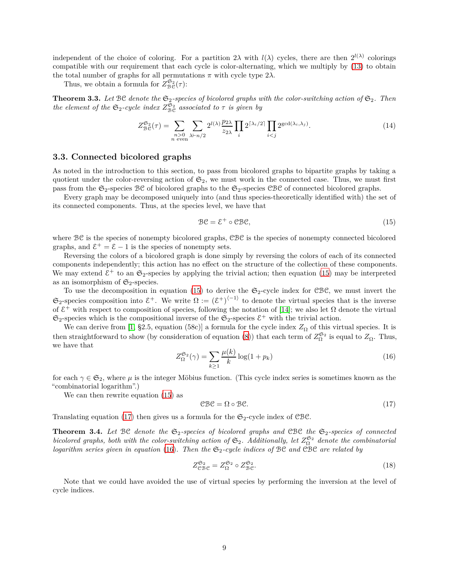independent of the choice of coloring. For a partition  $2\lambda$  with  $l(\lambda)$  cycles, there are then  $2^{l(\lambda)}$  colorings compatible with our requirement that each cycle is color-alternating, which we multiply by [\(13\)](#page-7-2) to obtain the total number of graphs for all permutations  $\pi$  with cycle type  $2\lambda$ .

Thus, we obtain a formula for  $Z_{\text{BC}}^{\mathfrak{S}_2}(\tau)$ :

**Theorem 3.3.** Let  $\mathcal{BC}$  denote the  $\mathfrak{S}_2$ -species of bicolored graphs with the color-switching action of  $\mathfrak{S}_2$ . Then *the element of the*  $\mathfrak{S}_2$ -cycle *index*  $Z_{\text{BC}}^{\tilde{\mathfrak{S}}_2}$  *associated to*  $\tau$  *is given by* 

$$
Z_{\text{BC}}^{\mathfrak{S}_2}(\tau) = \sum_{\substack{n>0\\n \text{ even}}} \sum_{\lambda \vdash n/2} 2^{l(\lambda)} \frac{p_{2\lambda}}{z_{2\lambda}} \prod_i 2^{\lceil \lambda_i/2 \rceil} \prod_{i < j} 2^{\gcd(\lambda_i, \lambda_j)}.
$$
\n(14)

### **3.3. Connected bicolored graphs**

As noted in the introduction to this section, to pass from bicolored graphs to bipartite graphs by taking a quotient under the color-reversing action of  $\mathfrak{S}_2$ , we must work in the connected case. Thus, we must first pass from the  $\mathfrak{S}_2$ -species  $\mathfrak{BC}$  of bicolored graphs to the  $\mathfrak{S}_2$ -species  $\mathfrak{CBC}$  of connected bicolored graphs.

Every graph may be decomposed uniquely into (and thus species-theoretically identified with) the set of its connected components. Thus, at the species level, we have that

<span id="page-8-1"></span>
$$
\mathcal{BC} = \mathcal{E}^+ \circ \mathcal{CBC},\tag{15}
$$

where  $\mathcal{BC}$  is the species of nonempty bicolored graphs,  $\mathcal{CBC}$  is the species of nonempty connected bicolored graphs, and  $\mathcal{E}^+ = \mathcal{E} - 1$  is the species of nonempty sets.

Reversing the colors of a bicolored graph is done simply by reversing the colors of each of its connected components independently; this action has no effect on the structure of the collection of these components. We may extend  $\mathcal{E}^+$  to an  $\mathfrak{S}_2$ -species by applying the trivial action; then equation [\(15\)](#page-8-1) may be interpreted as an isomorphism of  $\mathfrak{S}_2$ -species.

To use the decomposition in equation [\(15](#page-8-1)) to derive the  $\mathfrak{S}_2$ -cycle index for CBC, we must invert the  $\mathfrak{S}_2$ -species composition into  $\mathcal{E}^+$ . We write  $\Omega := (\mathcal{E}^+)^{\langle -1 \rangle}$  to denote the virtual species that is the inverse of  $\mathcal{E}^+$  with respect to composition of species, following the notation of [\[14\]](#page-14-15); we also let  $\Omega$  denote the virtual  $\mathfrak{S}_2$ -species which is the compositional inverse of the  $\mathfrak{S}_2$ -species  $\mathcal{E}^+$  with the trivial action.

<span id="page-8-3"></span>We can derive from [\[1,](#page-13-0) §2.5, equation (58c)] a formula for the cycle index  $Z_{\Omega}$  of this virtual species. It is then straightforward to show (by consideration of equation [\(8\)](#page-4-1)) that each term of  $Z_0^{\mathfrak{S}_2}$  $\frac{\mathfrak{S}_2}{\Omega}$  is equal to  $Z_{\Omega}$ . Thus, we have that

$$
Z_{\Omega}^{\mathfrak{S}_2}(\gamma) = \sum_{k \ge 1} \frac{\mu(k)}{k} \log(1 + p_k)
$$
\n(16)

for each  $\gamma \in \mathfrak{S}_2$ , where  $\mu$  is the integer Möbius function. (This cycle index series is sometimes known as the "combinatorial logarithm".)

We can then rewrite equation [\(15\)](#page-8-1) as

<span id="page-8-2"></span>
$$
CBC = \Omega \circ BC. \tag{17}
$$

Translating equation [\(17](#page-8-2)) then gives us a formula for the  $\mathfrak{S}_2$ -cycle index of CBC.

**Theorem 3.4.** Let BC denote the  $\mathfrak{S}_2$ -species of bicolored graphs and CBC the  $\mathfrak{S}_2$ -species of connected *bicolored graphs, both with the color-switching action of*  $\mathfrak{S}_2$ . Additionally, let  $Z_{\Omega}^{\mathfrak{S}_2}$  $\frac{1}{\Omega}$ <sup>2</sup> denote the combinatorial *logarithm series given in equation* [\(16\)](#page-8-3)*. Then the*  $\mathfrak{S}_2$ -cycle *indices* of BC *and* CBC *are related by* 

$$
Z_{\rm CBC}^{\mathfrak{S}_2} = Z_{\Omega}^{\mathfrak{S}_2} \circ Z_{\rm BC}^{\mathfrak{S}_2}.
$$
 (18)

<span id="page-8-0"></span>Note that we could have avoided the use of virtual species by performing the inversion at the level of cycle indices.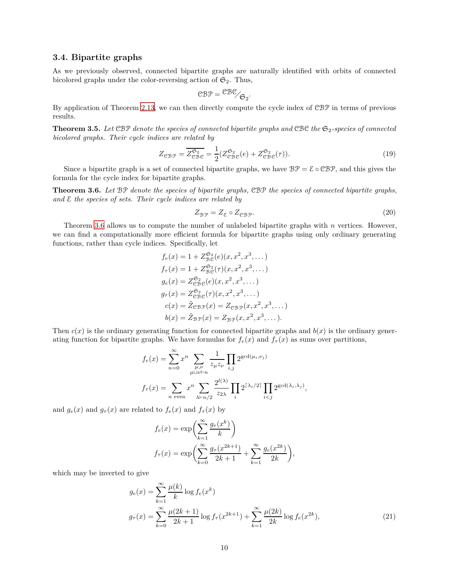### **3.4. Bipartite graphs**

As we previously observed, connected bipartite graphs are naturally identified with orbits of connected bicolored graphs under the color-reversing action of  $\mathfrak{S}_2$ . Thus,

$$
C\mathcal{B}P = {C\mathcal{B}C \choose C_2}.
$$

<span id="page-9-2"></span>By application of Theorem [2.13,](#page-4-2) we can then directly compute the cycle index of CBP in terms of previous results.

**Theorem 3.5.** Let CBP denote the species of connected bipartite graphs and CBC the  $\mathfrak{S}_2$ -species of connected *bicolored graphs. Their cycle indices are related by*

$$
Z_{\mathcal{CBP}} = \overline{Z_{\mathcal{CBE}}^{\mathfrak{S}_2}} = \frac{1}{2} (Z_{\mathcal{CBE}}^{\mathfrak{S}_2}(e) + Z_{\mathcal{CBE}}^{\mathfrak{S}_2}(\tau)). \tag{19}
$$

<span id="page-9-0"></span>Since a bipartite graph is a set of connected bipartite graphs, we have  $B\mathcal{P} = \mathcal{E} \circ \mathcal{C} \mathcal{B} \mathcal{P}$ , and this gives the formula for the cycle index for bipartite graphs.

**Theorem 3.6.** *Let* BP *denote the species of bipartite graphs,* CBP *the species of connected bipartite graphs, and* E *the species of sets. Their cycle indices are related by*

$$
Z_{\mathcal{B}\mathcal{P}} = Z_{\mathcal{E}} \circ Z_{\mathcal{C}\mathcal{B}\mathcal{P}}.\tag{20}
$$

Theorem [3.6](#page-9-0) allows us to compute the number of unlabeled bipartite graphs with *n* vertices. However, we can find a computationally more efficient formula for bipartite graphs using only ordinary generating functions, rather than cycle indices. Specifically, let

$$
f_e(x) = 1 + Z_{\mathcal{B}\mathcal{C}}^{\mathfrak{S}_2}(e)(x, x^2, x^3, \dots)
$$
  
\n
$$
f_{\tau}(x) = 1 + Z_{\mathcal{B}\mathcal{C}}^{\mathfrak{S}_2}(\tau)(x, x^2, x^3, \dots)
$$
  
\n
$$
g_e(x) = Z_{\mathcal{C}\mathcal{B}\mathcal{C}}^{\mathfrak{S}_2}(e)(x, x^2, x^3, \dots)
$$
  
\n
$$
g_{\tau}(x) = Z_{\mathcal{C}\mathcal{B}\mathcal{C}}^{\mathfrak{S}_2}(\tau)(x, x^2, x^3, \dots)
$$
  
\n
$$
c(x) = \tilde{Z}_{\mathcal{C}\mathcal{B}\mathcal{P}}(x) = Z_{\mathcal{C}\mathcal{B}\mathcal{P}}(x, x^2, x^3, \dots)
$$
  
\n
$$
b(x) = \tilde{Z}_{\mathcal{B}\mathcal{P}}(x) = Z_{\mathcal{B}\mathcal{P}}(x, x^2, x^3, \dots).
$$

Then  $c(x)$  is the ordinary generating function for connected bipartite graphs and  $b(x)$  is the ordinary generating function for bipartite graphs. We have formulas for  $f_e(x)$  and  $f_\tau(x)$  as sums over partitions,

$$
f_e(x) = \sum_{n=0}^{\infty} x^n \sum_{\substack{\mu,\nu \\ \mu \cup \nu \vdash n}} \frac{1}{z_{\mu} z_{\nu}} \prod_{i,j} 2^{\gcd(\mu_i,\nu_j)}
$$

$$
f_{\tau}(x) = \sum_{n \text{ even}} x^n \sum_{\lambda \vdash n/2} \frac{2^{l(\lambda)}}{z_{2\lambda}} \prod_i 2^{\lceil \lambda_i/2 \rceil} \prod_{i < j} 2^{\gcd(\lambda_i,\lambda_j)},
$$

and  $g_e(x)$  and  $g_\tau(x)$  are related to  $f_e(x)$  and  $f_\tau(x)$  by

<span id="page-9-1"></span>
$$
f_e(x) = \exp\left(\sum_{k=1}^{\infty} \frac{g_e(x^k)}{k}\right)
$$
  

$$
f_{\tau}(x) = \exp\left(\sum_{k=0}^{\infty} \frac{g_{\tau}(x^{2k+1})}{2k+1} + \sum_{k=1}^{\infty} \frac{g_e(x^{2k})}{2k}\right),
$$

which may be inverted to give

$$
g_e(x) = \sum_{k=1}^{\infty} \frac{\mu(k)}{k} \log f_e(x^k)
$$
  

$$
g_{\tau}(x) = \sum_{k=0}^{\infty} \frac{\mu(2k+1)}{2k+1} \log f_{\tau}(x^{2k+1}) + \sum_{k=1}^{\infty} \frac{\mu(2k)}{2k} \log f_e(x^{2k}),
$$
 (21)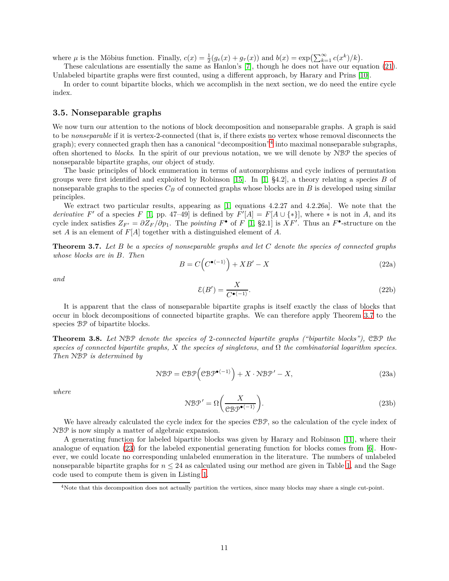where  $\mu$  is the Möbius function. Finally,  $c(x) = \frac{1}{2}(g_e(x) + g_\tau(x))$  and  $b(x) = \exp\left(\sum_{k=1}^{\infty} c(x^k)/k\right)$ .

These calculations are essentially the same as Hanlon's [\[7\]](#page-14-7), though he does not have our equation [\(21](#page-9-1)). Unlabeled bipartite graphs were first counted, using a different approach, by Harary and Prins [\[10\]](#page-14-6).

In order to count bipartite blocks, which we accomplish in the next section, we do need the entire cycle index.

### **3.5. Nonseparable graphs**

We now turn our attention to the notions of block decomposition and nonseparable graphs. A graph is said to be *nonseparable* if it is vertex-2-connected (that is, if there exists no vertex whose removal disconnects the graph); every connected graph then has a canonical "decomposition"[4](#page-10-1) into maximal nonseparable subgraphs, often shortened to *blocks*. In the spirit of our previous notation, we we will denote by NBP the species of nonseparable bipartite graphs, our object of study.

The basic principles of block enumeration in terms of automorphisms and cycle indices of permutation groups were first identified and exploited by Robinson [\[15\]](#page-14-8). In [\[1,](#page-13-0) §4.2], a theory relating a species *B* of nonseparable graphs to the species  $C_B$  of connected graphs whose blocks are in *B* is developed using similar principles.

We extract two particular results, appearing as [\[1,](#page-13-0) equations 4.2.27 and 4.2.26a]. We note that the *derivative*  $F'$  of a species  $F$  [\[1,](#page-13-0) pp. 47–49] is defined by  $F'[A] = F[A \cup \{*\}]$ , where  $*$  is not in *A*, and its cycle index satisfies  $Z_{F'} = \partial Z_F / \partial p_1$ . The *pointing*  $F^{\bullet}$  of  $F$  [\[1,](#page-13-0) §2.1] is  $XF'$ . Thus an  $F^{\bullet}$ -structure on the set *A* is an element of *F*[*A*] together with a distinguished element of *A*.

<span id="page-10-2"></span>**Theorem 3.7.** *Let B be a species of nonseparable graphs and let C denote the species of connected graphs whose blocks are in B. Then*

$$
B = C\left(C^{\bullet(-1)}\right) + XB' - X\tag{22a}
$$

*and*

$$
\mathcal{E}(B') = \frac{X}{C^{\bullet \langle -1 \rangle}}.\tag{22b}
$$

It is apparent that the class of nonseparable bipartite graphs is itself exactly the class of blocks that occur in block decompositions of connected bipartite graphs. We can therefore apply Theorem [3.7](#page-10-2) to the species BP of bipartite blocks.

<span id="page-10-0"></span>**Theorem 3.8.** *Let* NBP *denote the species of* 2*-connected bipartite graphs ("bipartite blocks"),* CBP *the species of connected bipartite graphs, X the species of singletons, and* Ω *the combinatorial logarithm species. Then* NBP *is determined by*

<span id="page-10-3"></span>
$$
\mathcal{NBP} = \mathcal{CBP}\Big(\mathcal{CBP}^{\bullet \langle -1 \rangle}\Big) + X \cdot \mathcal{NBP}' - X,\tag{23a}
$$

*where*

$$
\mathcal{NBP}' = \Omega\left(\frac{X}{\mathcal{CBP}^{\bullet(-1)}}\right). \tag{23b}
$$

We have already calculated the cycle index for the species CBP, so the calculation of the cycle index of NBP is now simply a matter of algebraic expansion.

A generating function for labeled bipartite blocks was given by Harary and Robinson [\[11\]](#page-14-2), where their analogue of equation [\(23\)](#page-10-3) for the labeled exponential generating function for blocks comes from [\[6\]](#page-14-1). However, we could locate no corresponding unlabeled enumeration in the literature. The numbers of unlabeled nonseparable bipartite graphs for  $n \leq 24$  as calculated using our method are given in Table [1,](#page-11-0) and the Sage code used to compute them is given in Listing [1.](#page-12-0)

<span id="page-10-1"></span><sup>&</sup>lt;sup>4</sup>Note that this decomposition does not actually partition the vertices, since many blocks may share a single cut-point.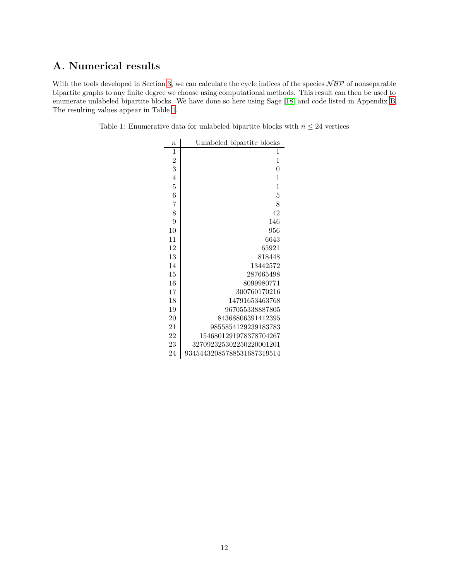# **A. Numerical results**

<span id="page-11-0"></span>With the tools developed in Section [3,](#page-4-3) we can calculate the cycle indices of the species  $NBP$  of nonseparable bipartite graphs to any finite degree we choose using computational methods. This result can then be used to enumerate unlabeled bipartite blocks. We have done so here using Sage [\[18\]](#page-14-16) and code listed in Appendix [B](#page-12-1). The resulting values appear in Table [1.](#page-11-0)

Table 1: Enumerative data for unlabeled bipartite blocks with  $n\leq 24$  vertices

| $\overline{n}$ | Unlabeled bipartite blocks |
|----------------|----------------------------|
| $\mathbf{1}$   | 1                          |
| $\overline{c}$ | 1                          |
| 3              | 0                          |
| $\overline{4}$ | 1                          |
| $\overline{5}$ | 1                          |
| 6              | 5                          |
| $\overline{7}$ | 8                          |
| 8              | 42                         |
| 9              | 146                        |
| 10             | 956                        |
| 11             | 6643                       |
| 12             | 65921                      |
| 13             | 818448                     |
| 14             | 13442572                   |
| 15             | 287665498                  |
| 16             | 8099980771                 |
| 17             | 300760170216               |
| 18             | 14791653463768             |
| 19             | 967055338887805            |
| 20             | 84368806391412395          |
| 21             | 9855854129239183783        |
| 22             | 1546801291978378704267     |
| 23             | 327092325302250220001201   |
| 24             | 93454432085788531687319514 |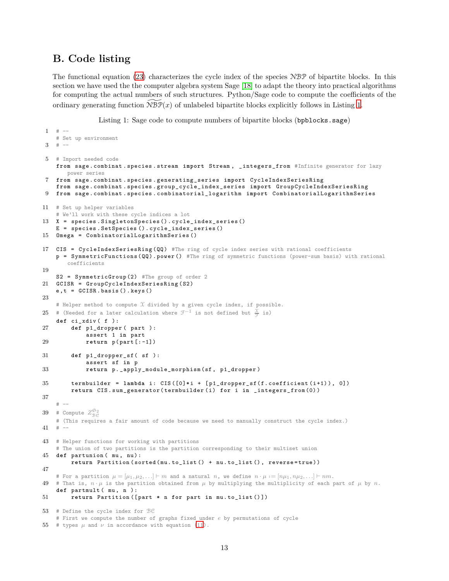## <span id="page-12-1"></span>**B. Code listing**

<span id="page-12-0"></span> $1 + -$ 

The functional equation [\(23](#page-10-3)) characterizes the cycle index of the species NBP of bipartite blocks. In this section we have used the the computer algebra system Sage [\[18\]](#page-14-16) to adapt the theory into practical algorithms for computing the actual numbers of such structures. Python/Sage code to compute the coefficients of the ordinary generating function  $\widetilde{\mathrm{NBF}}(x)$  of unlabeled bipartite blocks explicitly follows in Listing [1](#page-12-0).

Listing 1: Sage code to compute numbers of bipartite blocks (bpblocks.sage)

```
# Set up environment
3 \t + -5 # Import needed code
    from sage . combinat . species . stream import Stream , _integers_from #Infinite generator for lazy
       power series
   7 from sage . combinat . species . generating_series import CycleIndexSeriesRing
    from sage . combinat . species . group_cycle_index_series import GroupCycleIndexSeriesRing
9 from sage . combinat . species . combinatorial_logarithm import CombinatorialLogarithmSeries
11 # Set up helper variables
    # We'll work with these cycle indices a lot
13 X = species . SingletonSpecies () . cycle_index_series ()
    E = species . SetSpecies () . cycle_index_series ()
15 Omega = CombinatorialLogarithmSeries ()
17 CIS = CycleIndexSeriesRing (QQ) #The ring of cycle index series with rational coefficients
    p = SymmetricFunctions ( QQ ) . power () #The ring of symmetric functions (power-sum basis) with rational
        coefficients
19
    S2 = SymmetricGroup (2) #The group of order 2
21 GCISR = GroupCycleIndexSeriesRing (S2)
    e ,t = GCISR . basis () . keys ()
23
    # Helper method to compute X divided by a given cycle index, if possible.
25 # (Needed for a later calculation where \mathfrak{F}^{-1} is not defined but \frac{\mathfrak{X}}{\mathfrak{F}} is)
    def ci_xdiv ( f ):
27 def p1_dropper ( part ) :
             assert 1 in part
29 return p( part [: -1])
31 def p1_dropper_sf( sf):
             assert sf in p
33 return p. _apply_module_morphism (sf , p1_dropper )
35 termbuilder = lambda i : CIS ([0]* i + [ p1_dropper_sf ( f. coefficient (i +1) ) , 0])
         return CIS . sum_generator ( termbuilder ( i) for i in _integers_from (0) )
37
    # –-
39 # Compute Z_{\mathcal{B}\mathcal{C}}^{\mathfrak{S}_2}# (This requires a fair amount of code because we need to manually construct the cycle index.)
41 + -43 # Helper functions for working with partitions
    # The union of two partitions is the partition corresponding to their multiset union
45 def partunion ( mu , nu ):
         return Partition (sorted (mu.to_list () + nu.to_list (), reverse=true))
47
    # For a partition \mu = [\mu_1, \mu_2, \ldots] \vdash m and a natural n, we define n \cdot \mu := [n\mu_1, n\mu_2, \ldots] \vdash nm.
49 # That is, n \cdot \mu is the partition obtained from \mu by multiplying the multiplicity of each part of \mu by n.
    def partmult (mu, n):
51 return Partition ([ part * n for part in mu . to_list () ])
53 # Define the cycle index for BC
    # First we compute the number of graphs fixed under e by permutations of cycle
```

```
55 # types \mu and \nu(11).
```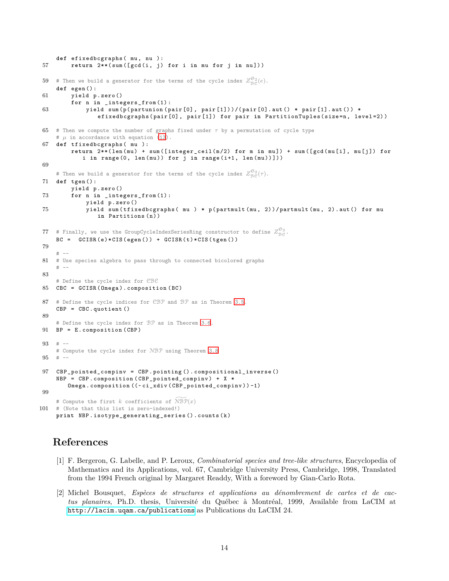```
def efixedbcgraphs ( mu , nu ):
57 return 2**( sum ([ gcd (i , j) for i in mu for j in nu ]) )
 59 # Then we build a generator for the terms of the cycle index Z_{\text{BC}}^{\mathfrak{S}_2}(e).
     def egen () :
61 yield p.zero ()
          for n in _integers_from (1) :
63 yield sum (p(parrow) (partunion (pair [0], pair [1])) / (pair [0]. aut () * pair [1]. aut () *
                  efixedbcgraphs (pair [0], pair [1]) for pair in PartitionTuples (size=n, level=2))
65 # Then we compute the number of graphs fixed under τ by a permutation of cycle type
     # \mu in accordance with equation (13).
67 def tfixedbcgraphs ( mu ):
          return 2**( len ( mu ) + sum ([ integer_ceil ( m /2) for m in mu ]) + sum ([ gcd ( mu [ i], mu [j ]) for
             i in range (0, len (mu)) for j in range (i+1, len (mu)) ]))
69
     # Then we build a generator for the terms of the cycle index Z_{\mathcal{BC}}^{\mathfrak{S}_2}(\tau).71 def tgen () :
          yield p.zero ()
73 for n in _integers_from (1) :
              yield p. zero ()
75 yield sum ( tfixedbcgraphs ( mu ) * p( partmult ( mu , 2) )/ partmult (mu , 2) . aut () for mu
                  in Partitions (n) )
 77 # Finally, we use the GroupCycleIndexSeriesRing constructor to define Z_{\mathcal{B}\mathcal{C}}^{\mathfrak{S}_2}.BC = GCISR(e)*CIS(egen()) + GCISR(t)*CIS(tgen())79
     # –-
81 # Use species algebra to pass through to connected bicolored graphs
     # –-
83
     # Define the cycle index for CBC
85 CBC = GCISR ( Omega ). composition ( BC )
87 # Define the cycle indices for CBP and BP as in Theorem 3.5.
     CBP = CBC . quotient ()
89
     # Define the cycle index for BP as in Theorem 3.6.
91 BP = E. composition (CBP)
93 # –-
     # Compute the cycle index for NBP using Theorem 3.8
95 # –-
97 CBP_pointed_compinv = CBP . pointing () . compositional_inverse ()
     NBP = CBP. composition (CBP_pointed_compinv) + X *
         Omega . composition ((~ ci_xdiv ( CBP_pointed_compinv )) -1)
99
     # Compute the first k coefficients of \widehat{NBP}(x)101 # (Note that this list is zero-indexed!)
     print NBP . isotype_generating_series () . counts (k )
```
## **References**

- <span id="page-13-0"></span>[1] F. Bergeron, G. Labelle, and P. Leroux, *Combinatorial species and tree-like structures*, Encyclopedia of Mathematics and its Applications, vol. 67, Cambridge University Press, Cambridge, 1998, Translated from the 1994 French original by Margaret Readdy, With a foreword by Gian-Carlo Rota.
- <span id="page-13-1"></span>[2] Michel Bousquet, *Espèces de structures et applications au dénombrement de cartes et de cactus planaires*, Ph.D. thesis, Université du Québec à Montréal, 1999, Available from LaCIM at <http://lacim.uqam.ca/publications> as Publications du LaCIM 24.